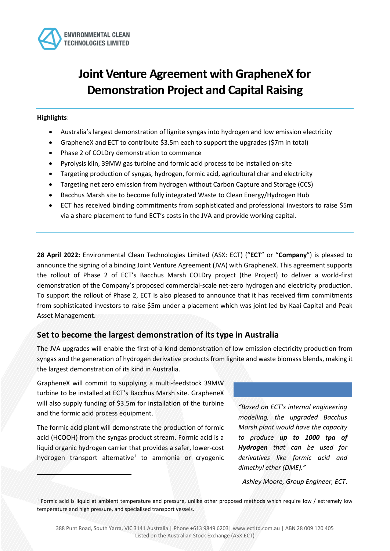

# **Joint Venture Agreement with GrapheneX for Demonstration Project and Capital Raising**

### **Highlights**:

- Australia's largest demonstration of lignite syngas into hydrogen and low emission electricity
- GrapheneX and ECT to contribute \$3.5m each to support the upgrades (\$7m in total)
- Phase 2 of COLDry demonstration to commence
- Pyrolysis kiln, 39MW gas turbine and formic acid process to be installed on-site
- Targeting production of syngas, hydrogen, formic acid, agricultural char and electricity
- Targeting net zero emission from hydrogen without Carbon Capture and Storage (CCS)
- Bacchus Marsh site to become fully integrated Waste to Clean Energy/Hydrogen Hub
- ECT has received binding commitments from sophisticated and professional investors to raise \$5m via a share placement to fund ECT's costs in the JVA and provide working capital.

**28 April 2022:** Environmental Clean Technologies Limited (ASX: ECT) ("**ECT**" or "**Company**") is pleased to announce the signing of a binding Joint Venture Agreement (JVA) with GrapheneX. This agreement supports the rollout of Phase 2 of ECT's Bacchus Marsh COLDry project (the Project) to deliver a world-first demonstration of the Company's proposed commercial-scale net-zero hydrogen and electricity production. To support the rollout of Phase 2, ECT is also pleased to announce that it has received firm commitments from sophisticated investors to raise \$5m under a placement which was joint led by Kaai Capital and Peak Asset Management.

### **Set to become the largest demonstration of its type in Australia**

The JVA upgrades will enable the first-of-a-kind demonstration of low emission electricity production from syngas and the generation of hydrogen derivative products from lignite and waste biomass blends, making it the largest demonstration of its kind in Australia.

GrapheneX will commit to supplying a multi-feedstock 39MW turbine to be installed at ECT's Bacchus Marsh site. GrapheneX will also supply funding of \$3.5m for installation of the turbine and the formic acid process equipment.

The formic acid plant will demonstrate the production of formic acid (HCOOH) from the syngas product stream. Formic acid is a liquid organic hydrogen carrier that provides a safer, lower-cost hydrogen transport alternative<sup>1</sup> to ammonia or cryogenic

*"Based on ECT's internal engineering modelling, the upgraded Bacchus Marsh plant would have the capacity to produce up to 1000 tpa of Hydrogen that can be used for derivatives like formic acid and dimethyl ether (DME)."*

*Ashley Moore, Group Engineer, ECT*.

<sup>1</sup> Formic acid is liquid at ambient temperature and pressure, unlike other proposed methods which require low / extremely low temperature and high pressure, and specialised transport vessels.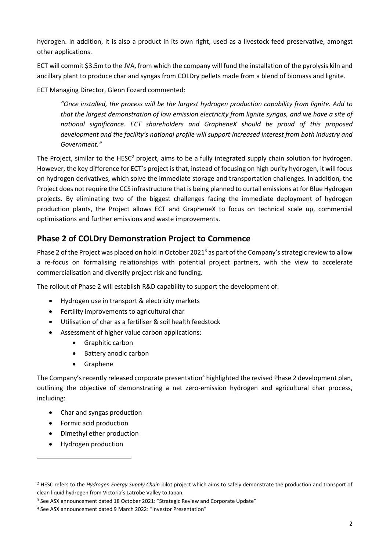hydrogen. In addition, it is also a product in its own right, used as a livestock feed preservative, amongst other applications.

ECT will commit \$3.5m to the JVA, from which the company will fund the installation of the pyrolysis kiln and ancillary plant to produce char and syngas from COLDry pellets made from a blend of biomass and lignite.

ECT Managing Director, Glenn Fozard commented:

*"Once installed, the process will be the largest hydrogen production capability from lignite. Add to that the largest demonstration of low emission electricity from lignite syngas, and we have a site of national significance. ECT shareholders and GrapheneX should be proud of this proposed development and the facility's national profile will support increased interest from both industry and Government."*

The Project, similar to the HESC*<sup>2</sup>* project, aims to be a fully integrated supply chain solution for hydrogen. However, the key difference for ECT's project is that, instead of focusing on high purity hydrogen, it will focus on hydrogen derivatives, which solve the immediate storage and transportation challenges. In addition, the Project does not require the CCS infrastructure that is being planned to curtail emissions at for Blue Hydrogen projects. By eliminating two of the biggest challenges facing the immediate deployment of hydrogen production plants, the Project allows ECT and GrapheneX to focus on technical scale up, commercial optimisations and further emissions and waste improvements.

## **Phase 2 of COLDry Demonstration Project to Commence**

Phase 2 of the Project was placed on hold in October 2021<sup>3</sup> as part of the Company's strategic review to allow a re-focus on formalising relationships with potential project partners, with the view to accelerate commercialisation and diversify project risk and funding.

The rollout of Phase 2 will establish R&D capability to support the development of:

- Hydrogen use in transport & electricity markets
- Fertility improvements to agricultural char
- Utilisation of char as a fertiliser & soil health feedstock
- Assessment of higher value carbon applications:
	- Graphitic carbon
	- Battery anodic carbon
	- Graphene

The Company's recently released corporate presentation<sup>4</sup> highlighted the revised Phase 2 development plan, outlining the objective of demonstrating a net zero-emission hydrogen and agricultural char process, including:

- Char and syngas production
- Formic acid production
- Dimethyl ether production
- Hydrogen production

<sup>2</sup> HESC refers to the *Hydrogen Energy Supply Chain* pilot project which aims to safely demonstrate the production and transport of clean liquid hydrogen from Victoria's Latrobe Valley to Japan.

<sup>&</sup>lt;sup>3</sup> See ASX announcement dated 18 October 2021: "Strategic Review and Corporate Update"

<sup>4</sup> See ASX announcement dated 9 March 2022: "Investor Presentation"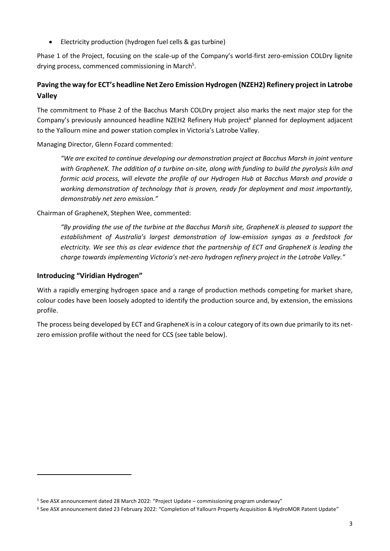• Electricity production (hydrogen fuel cells & gas turbine)

Phase 1 of the Project, focusing on the scale-up of the Company's world-first zero-emission COLDry lignite drying process, commenced commissioning in March<sup>5</sup>.

### **Paving the way for ECT's headline Net Zero Emission Hydrogen (NZEH2) Refinery project in Latrobe Valley**

The commitment to Phase 2 of the Bacchus Marsh COLDry project also marks the next major step for the Company's previously announced headline NZEH2 Refinery Hub project<sup>6</sup> planned for deployment adjacent to the Yallourn mine and power station complex in Victoria's Latrobe Valley.

Managing Director, Glenn Fozard commented:

*"We are excited to continue developing our demonstration project at Bacchus Marsh in joint venture with GrapheneX. The addition of a turbine on-site, along with funding to build the pyrolysis kiln and formic acid process, will elevate the profile of our Hydrogen Hub at Bacchus Marsh and provide a working demonstration of technology that is proven, ready for deployment and most importantly, demonstrably net zero emission."*

Chairman of GrapheneX, Stephen Wee, commented:

*"By providing the use of the turbine at the Bacchus Marsh site, GrapheneX is pleased to support the establishment of Australia's largest demonstration of low-emission syngas as a feedstock for electricity. We see this as clear evidence that the partnership of ECT and GrapheneX is leading the charge towards implementing Victoria's net-zero hydrogen refinery project in the Latrobe Valley."*

### **Introducing "Viridian Hydrogen"**

With a rapidly emerging hydrogen space and a range of production methods competing for market share, colour codes have been loosely adopted to identify the production source and, by extension, the emissions profile.

The process being developed by ECT and GrapheneX is in a colour category of its own due primarily to its netzero emission profile without the need for CCS (see table below).

<sup>5</sup> See ASX announcement dated 28 March 2022: "Project Update – commissioning program underway"

<sup>6</sup> See ASX announcement dated 23 February 2022: "Completion of Yallourn Property Acquisition & HydroMOR Patent Update"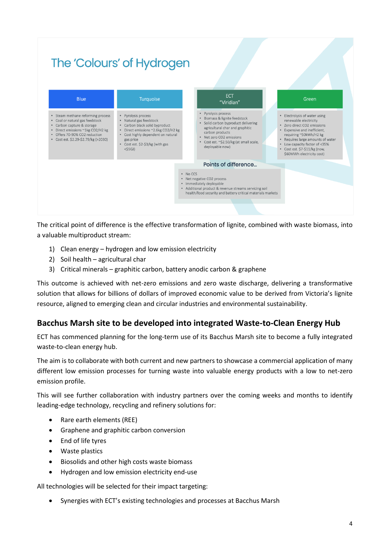#### The 'Colours' of Hydrogen ECT **Blue** Turquoise Green "Viridian" • Pyrolysis process • Steam methane reforming process • Pyrolysis process • Electrolysis of water using · Biomass & lignite feedstock · Coal or natural gas feedstock · Natural gas feedstock renewable electricity · Solid carbon byproduct delivering • Carbon capture & storage Carbon black solid byproduct \* Zero direct CO2 emissions agricultural char and graphitic • Direct emissions ~1kg CO2/H2 kg<br>• Offers 70-90% CO2 reduction • Direct emissions ~2.6kg CO2/H2 kg \* Expensive and inefficient,<br>requiring ~50kWh/H2 kg carbon products • Cost highly dependent on natural • Net zero CO2 emissions \* Cost est. \$2.29-\$2.79/kg (>2030) gas price · Requires large amounts of water \* Cost est. ~\$2.50/kg (at small scale. Cost est. \$2-\$3/kg (with gas • Low capacity factor of <35%<br>• Cost est. \$7-\$11/kg (now, deployable now)  $<$ \$5GJ) \$60MWh electricity cost) Points of difference... • No CCS • Net negative CO2 process · Immediately deployable • Additional product & revenue streams servicing soil health/food security and battery critical materials markets

The critical point of difference is the effective transformation of lignite, combined with waste biomass, into a valuable multiproduct stream:

- 1) Clean energy hydrogen and low emission electricity
- 2) Soil health agricultural char
- 3) Critical minerals graphitic carbon, battery anodic carbon & graphene

This outcome is achieved with net-zero emissions and zero waste discharge, delivering a transformative solution that allows for billions of dollars of improved economic value to be derived from Victoria's lignite resource, aligned to emerging clean and circular industries and environmental sustainability.

### **Bacchus Marsh site to be developed into integrated Waste-to-Clean Energy Hub**

ECT has commenced planning for the long-term use of its Bacchus Marsh site to become a fully integrated waste-to-clean energy hub.

The aim is to collaborate with both current and new partners to showcase a commercial application of many different low emission processes for turning waste into valuable energy products with a low to net-zero emission profile.

This will see further collaboration with industry partners over the coming weeks and months to identify leading-edge technology, recycling and refinery solutions for:

- Rare earth elements (REE)
- Graphene and graphitic carbon conversion
- End of life tyres
- Waste plastics
- Biosolids and other high costs waste biomass
- Hydrogen and low emission electricity end-use

All technologies will be selected for their impact targeting:

• Synergies with ECT's existing technologies and processes at Bacchus Marsh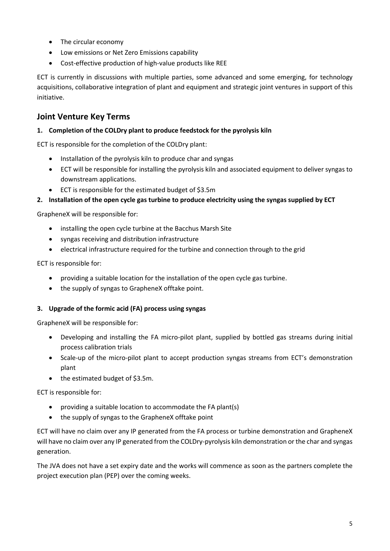- The circular economy
- Low emissions or Net Zero Emissions capability
- Cost-effective production of high-value products like REE

ECT is currently in discussions with multiple parties, some advanced and some emerging, for technology acquisitions, collaborative integration of plant and equipment and strategic joint ventures in support of this initiative.

### **Joint Venture Key Terms**

### **1. Completion of the COLDry plant to produce feedstock for the pyrolysis kiln**

ECT is responsible for the completion of the COLDry plant:

- Installation of the pyrolysis kiln to produce char and syngas
- ECT will be responsible for installing the pyrolysis kiln and associated equipment to deliver syngas to downstream applications.
- ECT is responsible for the estimated budget of \$3.5m

### **2. Installation of the open cycle gas turbine to produce electricity using the syngas supplied by ECT**

GrapheneX will be responsible for:

- installing the open cycle turbine at the Bacchus Marsh Site
- syngas receiving and distribution infrastructure
- electrical infrastructure required for the turbine and connection through to the grid

ECT is responsible for:

- providing a suitable location for the installation of the open cycle gas turbine.
- the supply of syngas to GrapheneX offtake point.

### **3. Upgrade of the formic acid (FA) process using syngas**

GrapheneX will be responsible for:

- Developing and installing the FA micro-pilot plant, supplied by bottled gas streams during initial process calibration trials
- Scale-up of the micro-pilot plant to accept production syngas streams from ECT's demonstration plant
- the estimated budget of \$3.5m.

ECT is responsible for:

- providing a suitable location to accommodate the FA plant(s)
- the supply of syngas to the GrapheneX offtake point

ECT will have no claim over any IP generated from the FA process or turbine demonstration and GrapheneX will have no claim over any IP generated from the COLDry-pyrolysis kiln demonstration or the char and syngas generation.

The JVA does not have a set expiry date and the works will commence as soon as the partners complete the project execution plan (PEP) over the coming weeks.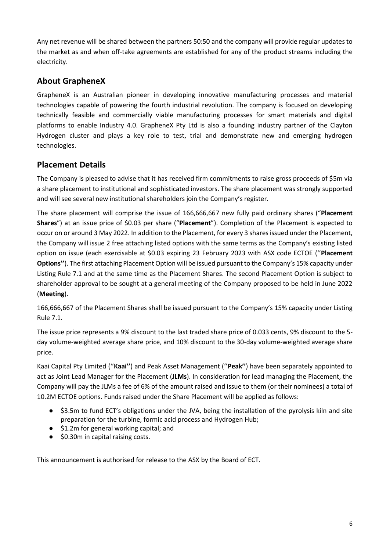Any net revenue will be shared between the partners 50:50 and the company will provide regular updates to the market as and when off-take agreements are established for any of the product streams including the electricity.

### **About GrapheneX**

GrapheneX is an Australian pioneer in developing innovative manufacturing processes and material technologies capable of powering the fourth industrial revolution. The company is focused on developing technically feasible and commercially viable manufacturing processes for smart materials and digital platforms to enable Industry 4.0. GrapheneX Pty Ltd is also a founding industry partner of the Clayton Hydrogen cluster and plays a key role to test, trial and demonstrate new and emerging hydrogen technologies.

### **Placement Details**

The Company is pleased to advise that it has received firm commitments to raise gross proceeds of \$5m via a share placement to institutional and sophisticated investors. The share placement was strongly supported and will see several new institutional shareholders join the Company's register.

The share placement will comprise the issue of 166,666,667 new fully paid ordinary shares ("**Placement Shares**") at an issue price of \$0.03 per share ("**Placement**"). Completion of the Placement is expected to occur on or around 3 May 2022. In addition to the Placement, for every 3 shares issued under the Placement, the Company will issue 2 free attaching listed options with the same terms as the Company's existing listed option on issue (each exercisable at \$0.03 expiring 23 February 2023 with ASX code ECTOE (''**Placement Options''**). The first attaching Placement Option will be issued pursuant to the Company's 15% capacity under Listing Rule 7.1 and at the same time as the Placement Shares. The second Placement Option is subject to shareholder approval to be sought at a general meeting of the Company proposed to be held in June 2022 (**Meeting**).

166,666,667 of the Placement Shares shall be issued pursuant to the Company's 15% capacity under Listing Rule 7.1.

The issue price represents a 9% discount to the last traded share price of 0.033 cents, 9% discount to the 5 day volume-weighted average share price, and 10% discount to the 30-day volume-weighted average share price.

Kaai Capital Pty Limited (''**Kaai''**) and Peak Asset Management (''**Peak''**) have been separately appointed to act as Joint Lead Manager for the Placement (**JLMs**). In consideration for lead managing the Placement, the Company will pay the JLMs a fee of 6% of the amount raised and issue to them (or their nominees) a total of 10.2M ECTOE options. Funds raised under the Share Placement will be applied as follows:

- \$3.5m to fund ECT's obligations under the JVA, being the installation of the pyrolysis kiln and site preparation for the turbine, formic acid process and Hydrogen Hub;
- \$1.2m for general working capital; and
- \$0.30m in capital raising costs.

This announcement is authorised for release to the ASX by the Board of ECT.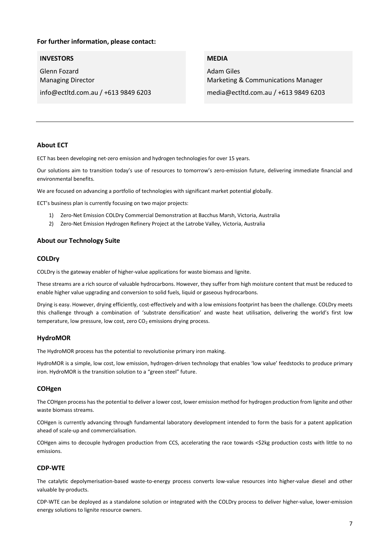### **For further information, please contact:**

#### **INVESTORS**

Glenn Fozard Managing Director **MEDIA** 

Adam Giles Marketing & Communications Manager media@ectltd.com.au / +613 9849 6203

info@ectltd.com.au / +613 9849 6203

### **About ECT**

ECT has been developing net-zero emission and hydrogen technologies for over 15 years.

Our solutions aim to transition today's use of resources to tomorrow's zero-emission future, delivering immediate financial and environmental benefits.

We are focused on advancing a portfolio of technologies with significant market potential globally.

ECT's business plan is currently focusing on two major projects:

- 1) Zero-Net Emission COLDry Commercial Demonstration at Bacchus Marsh, Victoria, Australia
- 2) Zero-Net Emission Hydrogen Refinery Project at the Latrobe Valley, Victoria, Australia

#### **About our Technology Suite**

#### **COLDry**

COLDry is the gateway enabler of higher-value applications for waste biomass and lignite.

These streams are a rich source of valuable hydrocarbons. However, they suffer from high moisture content that must be reduced to enable higher value upgrading and conversion to solid fuels, liquid or gaseous hydrocarbons.

Drying is easy. However, drying efficiently, cost-effectively and with a low emissions footprint has been the challenge. COLDry meets this challenge through a combination of 'substrate densification' and waste heat utilisation, delivering the world's first low temperature, low pressure, low cost, zero  $CO<sub>2</sub>$  emissions drying process.

#### **HydroMOR**

The HydroMOR process has the potential to revolutionise primary iron making.

HydroMOR is a simple, low cost, low emission, hydrogen-driven technology that enables 'low value' feedstocks to produce primary iron. HydroMOR is the transition solution to a "green steel" future.

#### **COHgen**

The COHgen process has the potential to deliver a lower cost, lower emission method for hydrogen production from lignite and other waste biomass streams.

COHgen is currently advancing through fundamental laboratory development intended to form the basis for a patent application ahead of scale-up and commercialisation.

COHgen aims to decouple hydrogen production from CCS, accelerating the race towards <\$2kg production costs with little to no emissions.

#### **CDP-WTE**

The catalytic depolymerisation-based waste-to-energy process converts low-value resources into higher-value diesel and other valuable by-products.

CDP-WTE can be deployed as a standalone solution or integrated with the COLDry process to deliver higher-value, lower-emission energy solutions to lignite resource owners.